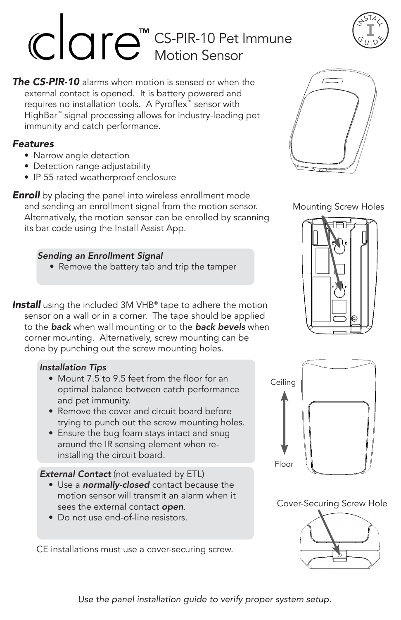# CS-PIR-10 Pet Immune Motion Sensor

*The CS-PIR-10* alarms when motion is sensed or when the external contact is opened. It is battery powered and requires no installation tools. A Pyroflex™ sensor with HighBar™ signal processing allows for industry-leading pet immunity and catch performance.

#### *Features*

- Narrow angle detection
- Detection range adjustability
- IP 55 rated weatherproof enclosure

**Enroll** by placing the panel into wireless enrollment mode and sending an enrollment signal from the motion sensor. Alternatively, the motion sensor can be enrolled by scanning its bar code using the Install Assist App.

#### *Sending an Enrollment Signal*

• Remove the battery tab and trip the tamper

**Install** using the included 3M VHB<sup>®</sup> tape to adhere the motion sensor on a wall or in a corner. The tape should be applied to the *back* when wall mounting or to the *back bevels* when corner mounting. Alternatively, screw mounting can be done by punching out the screw mounting holes.

## *Installation Tips*

- Mount 7.5 to 9.5 feet from the floor for an optimal balance between catch performance and pet immunity.
- Remove the cover and circuit board before trying to punch out the screw mounting holes.
- Ensure the bug foam stays intact and snug around the IR sensing element when reinstalling the circuit board.

*External Contact* (not evaluated by ETL)

- Use a *normally-closed* contact because the motion sensor will transmit an alarm when it sees the external contact *open*.
- Do not use end-of-line resistors.

CE installations must use a cover-securing screw.



Mounting Screw Holes





Cover-Securing Screw Hole





*Use the panel installation guide to verify proper system setup.*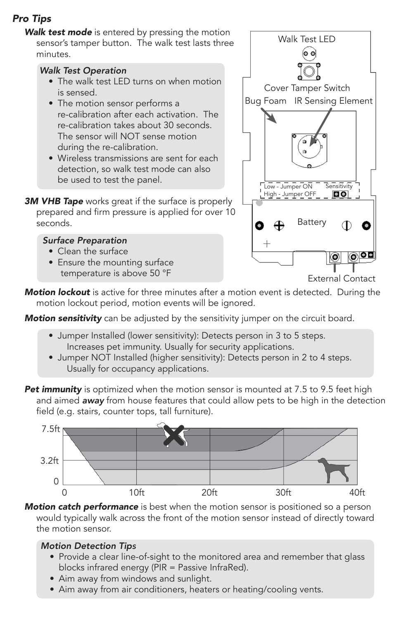# *Pro Tips*

*Walk test mode* is entered by pressing the motion sensor's tamper button. The walk test lasts three minutes.

#### *Walk Test Operation*

- The walk test LED turns on when motion is sensed.
- The motion sensor performs a re-calibration after each activation. The re-calibration takes about 30 seconds. The sensor will NOT sense motion during the re-calibration.
- Wireless transmissions are sent for each detection, so walk test mode can also be used to test the panel.
- **3M VHB Tape** works great if the surface is properly prepared and firm pressure is applied for over 10 seconds.

#### *Surface Preparation*

- Clean the surface
- Ensure the mounting surface temperature is above 50 °F



External Contact

*Motion lockout* is active for three minutes after a motion event is detected. During the motion lockout period, motion events will be ignored.

*Motion sensitivity* can be adjusted by the sensitivity jumper on the circuit board.

- Jumper Installed (lower sensitivity): Detects person in 3 to 5 steps. Increases pet immunity. Usually for security applications.
- Jumper NOT Installed (higher sensitivity): Detects person in 2 to 4 steps. Usually for occupancy applications.
- **Pet immunity** is optimized when the motion sensor is mounted at 7.5 to 9.5 feet high and aimed *away* from house features that could allow pets to be high in the detection field (e.g. stairs, counter tops, tall furniture).



*Motion catch performance* is best when the motion sensor is positioned so a person would typically walk across the front of the motion sensor instead of directly toward the motion sensor.

#### *Motion Detection Tips*

- Provide a clear line-of-sight to the monitored area and remember that glass blocks infrared energy (PIR = Passive InfraRed).
- Aim away from windows and sunlight.
- Aim away from air conditioners, heaters or heating/cooling vents.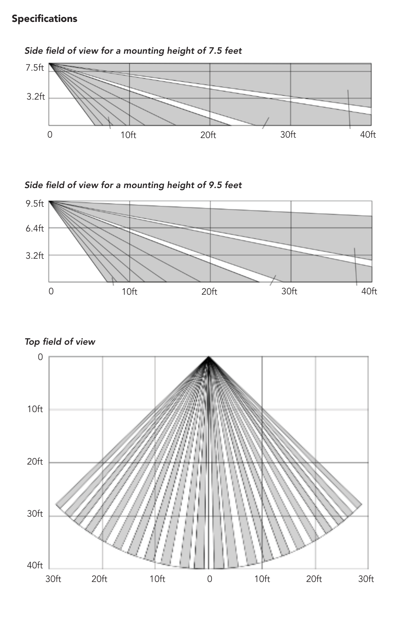## Specifications



## Side field of view for a mounting height of 7.5 feet